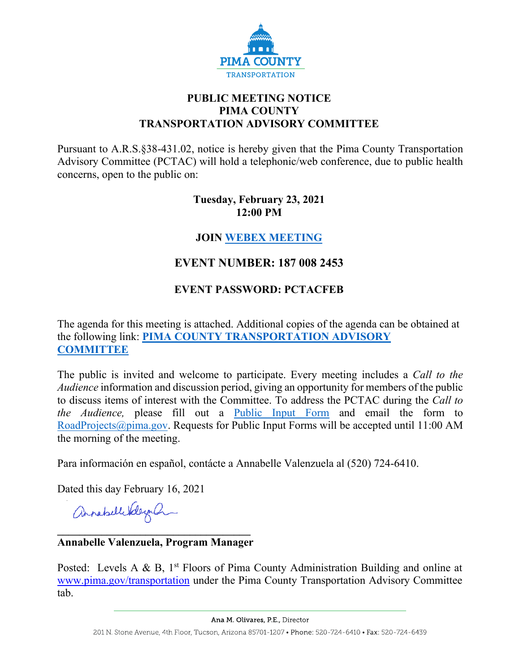

## **PUBLIC MEETING NOTICE PIMA COUNTY TRANSPORTATION ADVISORY COMMITTEE**

Pursuant to A.R.S.§38-431.02, notice is hereby given that the Pima County Transportation Advisory Committee (PCTAC) will hold a telephonic/web conference, due to public health concerns, open to the public on:

#### **Tuesday, February 23, 2021 12:00 PM**

## **JOIN [WEBEX MEETING](https://pimacounty.webex.com/mw3300/mywebex/default.do?siteurl=pimacounty&service=6)**

# **EVENT NUMBER: 187 008 2453**

## **EVENT PASSWORD: PCTACFEB**

The agenda for this meeting is attached. Additional copies of the agenda can be obtained at the following link: **[PIMA COUNTY TRANSPORTATION ADVISORY](https://webcms.pima.gov/cms/One.aspx?portalId=169&pageId=355530)  [COMMITTEE](https://webcms.pima.gov/cms/One.aspx?portalId=169&pageId=355530)**

The public is invited and welcome to participate. Every meeting includes a *Call to the Audience* information and discussion period, giving an opportunity for members of the public to discuss items of interest with the Committee. To address the PCTAC during the *Call to the Audience,* please fill out a [Public Input Form](https://webcms.pima.gov/UserFiles/Servers/Server_6/File/Government/Transportation/TransportationAdvisoryCommittee/WEBEX/PCTAC_Speaker_Card.pdf) and email the form to [RoadProjects@pima.gov.](mailto:RoadProjects@pima.gov) Requests for Public Input Forms will be accepted until 11:00 AM the morning of the meeting.

Para información en español, contácte a Annabelle Valenzuela al (520) 724-6410.

Dated this day February 16, 2021

annahellikleyah

#### **\_\_\_\_\_\_\_\_\_\_\_\_\_\_\_\_\_\_\_\_\_\_\_\_\_\_\_\_\_\_\_\_\_\_\_ Annabelle Valenzuela, Program Manager**

Posted: Levels A & B,  $1<sup>st</sup>$  Floors of Pima County Administration Building and online at [www.pima.gov/transportation](http://www.pima.gov/transportation) under the Pima County Transportation Advisory Committee tab.